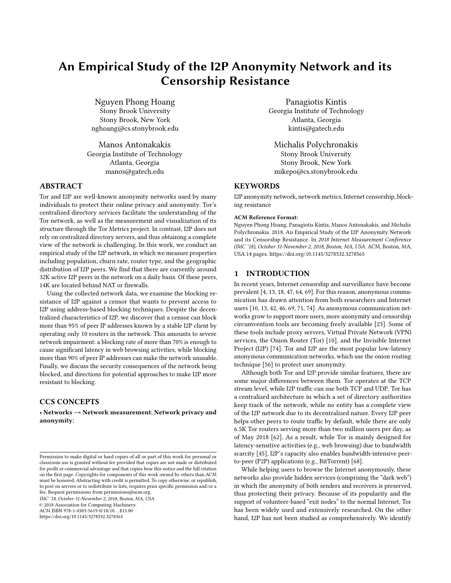# An Empirical Study of the I2P Anonymity Network and its Censorship Resistance

Nguyen Phong Hoang Stony Brook University Stony Brook, New York nghoang@cs.stonybrook.edu

Manos Antonakakis Georgia Institute of Technology Atlanta, Georgia manos@gatech.edu

# ABSTRACT

Tor and I2P are well-known anonymity networks used by many individuals to protect their online privacy and anonymity. Tor's centralized directory services facilitate the understanding of the Tor network, as well as the measurement and visualization of its structure through the Tor Metrics project. In contrast, I2P does not rely on centralized directory servers, and thus obtaining a complete view of the network is challenging. In this work, we conduct an empirical study of the I2P network, in which we measure properties including population, churn rate, router type, and the geographic distribution of I2P peers. We find that there are currently around 32K active I2P peers in the network on a daily basis. Of these peers, 14K are located behind NAT or firewalls.

Using the collected network data, we examine the blocking resistance of I2P against a censor that wants to prevent access to I2P using address-based blocking techniques. Despite the decentralized characteristics of I2P, we discover that a censor can block more than 95% of peer IP addresses known by a stable I2P client by operating only 10 routers in the network. This amounts to severe network impairment: a blocking rate of more than 70% is enough to cause significant latency in web browsing activities, while blocking more than 90% of peer IP addresses can make the network unusable. Finally, we discuss the security consequences of the network being blocked, and directions for potential approaches to make I2P more resistant to blocking.

## CCS CONCEPTS

• Networks → Network measurement; Network privacy and anonymity;

IMC '18, October 31-November 2, 2018, Boston, MA, USA

© 2018 Association for Computing Machinery.

ACM ISBN 978-1-4503-5619-0/18/10...\$15.00

<https://doi.org/10.1145/3278532.3278565>

Panagiotis Kintis Georgia Institute of Technology Atlanta, Georgia kintis@gatech.edu

Michalis Polychronakis Stony Brook University Stony Brook, New York mikepo@cs.stonybrook.edu

# **KEYWORDS**

I2P anonymity network, network metrics, Internet censorship, blocking resistance

#### ACM Reference Format:

Nguyen Phong Hoang, Panagiotis Kintis, Manos Antonakakis, and Michalis Polychronakis. 2018. An Empirical Study of the I2P Anonymity Network and its Censorship Resistance. In 2018 Internet Measurement Conference (IMC '18), October 31-November 2, 2018, Boston, MA, USA. ACM, Boston, MA, USA[.14](#page-13-0) pages.<https://doi.org/10.1145/3278532.3278565>

## 1 INTRODUCTION

In recent years, Internet censorship and surveillance have become prevalent [\[4,](#page-12-0) [13,](#page-12-1) [18,](#page-13-1) [47,](#page-13-2) [64,](#page-13-3) [69\]](#page-13-4). For this reason, anonymous communication has drawn attention from both researchers and Internet users [\[10,](#page-12-2) [13,](#page-12-1) [42,](#page-13-5) [46,](#page-13-6) [69,](#page-13-4) [71,](#page-13-7) [74\]](#page-13-8). As anonymous communication networks grow to support more users, more anonymity and censorship circumvention tools are becoming freely available [\[23\]](#page-13-9). Some of these tools include proxy servers, Virtual Private Network (VPN) services, the Onion Router (Tor) [\[10\]](#page-12-2), and the Invisible Internet Project (I2P) [\[74\]](#page-13-8). Tor and I2P are the most popular low-latency anonymous communication networks, which use the onion routing technique [\[56\]](#page-13-10) to protect user anonymity.

Although both Tor and I2P provide similar features, there are some major differences between them. Tor operates at the TCP stream level, while I2P traffic can use both TCP and UDP. Tor has a centralized architecture in which a set of directory authorities keep track of the network, while no entity has a complete view of the I2P network due to its decentralized nature. Every I2P peer helps other peers to route traffic by default, while there are only 6.5K Tor routers serving more than two million users per day, as of May 2018 [\[62\]](#page-13-11). As a result, while Tor is mainly designed for latency-sensitive activities (e.g., web browsing) due to bandwidth scarcity [\[45\]](#page-13-12), I2P's capacity also enables bandwidth-intensive peerto-peer (P2P) applications (e.g., BitTorrent) [\[68\]](#page-13-13).

While helping users to browse the Internet anonymously, these networks also provide hidden services (comprising the "dark web") in which the anonymity of both senders and receivers is preserved, thus protecting their privacy. Because of its popularity and the support of volunteer-based "exit nodes" to the normal Internet, Tor has been widely used and extensively researched. On the other hand, I2P has not been studied as comprehensively. We identify

Permission to make digital or hard copies of all or part of this work for personal or classroom use is granted without fee provided that copies are not made or distributed for profit or commercial advantage and that copies bear this notice and the full citation on the first page. Copyrights for components of this work owned by others than ACM must be honored. Abstracting with credit is permitted. To copy otherwise, or republish, to post on servers or to redistribute to lists, requires prior specific permission and/or a fee. Request permissions from permissions@acm.org.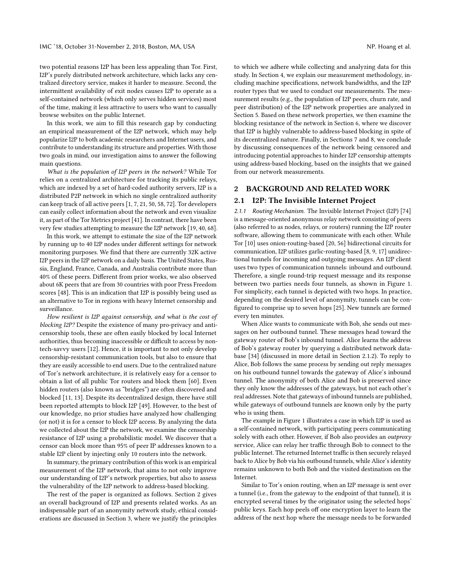two potential reasons I2P has been less appealing than Tor. First, I2P's purely distributed network architecture, which lacks any centralized directory service, makes it harder to measure. Second, the intermittent availability of exit nodes causes I2P to operate as a self-contained network (which only serves hidden services) most of the time, making it less attractive to users who want to casually browse websites on the public Internet.

In this work, we aim to fill this research gap by conducting an empirical measurement of the I2P network, which may help popularize I2P to both academic researchers and Internet users, and contribute to understanding its structure and properties. With those two goals in mind, our investigation aims to answer the following main questions.

What is the population of I2P peers in the network? While Tor relies on a centralized architecture for tracking its public relays, which are indexed by a set of hard-coded authority servers, I2P is a distributed P2P network in which no single centralized authority can keep track of all active peers [\[1,](#page-12-3) [7,](#page-12-4) [21,](#page-13-14) [50,](#page-13-15) [58,](#page-13-16) [72\]](#page-13-17). Tor developers can easily collect information about the network and even visualize it, as part of the Tor Metrics project [\[41\]](#page-13-18). In contrast, there have been very few studies attempting to measure the I2P network [\[19,](#page-13-19) [40,](#page-13-20) [68\]](#page-13-13).

In this work, we attempt to estimate the size of the I2P network by running up to 40 I2P nodes under different settings for network monitoring purposes. We find that there are currently 32K active I2P peers in the I2P network on a daily basis. The United States, Russia, England, France, Canada, and Australia contribute more than 40% of these peers. Different from prior works, we also observed about 6K peers that are from 30 countries with poor Press Freedom scores [\[48\]](#page-13-21). This is an indication that I2P is possibly being used as an alternative to Tor in regions with heavy Internet censorship and surveillance.

How resilient is I2P against censorship, and what is the cost of blocking I2P? Despite the existence of many pro-privacy and anticensorship tools, these are often easily blocked by local Internet authorities, thus becoming inaccessible or difficult to access by nontech-savvy users [\[12\]](#page-12-5). Hence, it is important to not only develop censorship-resistant communication tools, but also to ensure that they are easily accessible to end users. Due to the centralized nature of Tor's network architecture, it is relatively easy for a censor to obtain a list of all public Tor routers and block them [\[60\]](#page-13-22). Even hidden routers (also known as "bridges") are often discovered and blocked [\[11,](#page-12-6) [13\]](#page-12-1). Despite its decentralized design, there have still been reported attempts to block I2P [\[49\]](#page-13-23). However, to the best of our knowledge, no prior studies have analyzed how challenging (or not) it is for a censor to block I2P access. By analyzing the data we collected about the I2P the network, we examine the censorship resistance of I2P using a probabilistic model. We discover that a censor can block more than 95% of peer IP addresses known to a stable I2P client by injecting only 10 routers into the network.

In summary, the primary contribution of this work is an empirical measurement of the I2P network, that aims to not only improve our understanding of I2P's network properties, but also to assess the vulnerability of the I2P network to address-based blocking.

The rest of the paper is organized as follows. Section [2](#page-1-0) gives an overall background of I2P and presents related works. As an indispensable part of an anonymity network study, ethical considerations are discussed in Section [3,](#page-3-0) where we justify the principles

to which we adhere while collecting and analyzing data for this study. In Section [4,](#page-4-0) we explain our measurement methodology, including machine specifications, network bandwidths, and the I2P router types that we used to conduct our measurements. The measurement results (e.g., the population of I2P peers, churn rate, and peer distribution) of the I2P network properties are analyzed in Section [5.](#page-6-0) Based on these network properties, we then examine the blocking resistance of the network in Section [6,](#page-10-0) where we discover that I2P is highly vulnerable to address-based blocking in spite of its decentralized nature. Finally, in Sections [7](#page-11-0) and [8,](#page-12-7) we conclude by discussing consequences of the network being censored and introducing potential approaches to hinder I2P censorship attempts using address-based blocking, based on the insights that we gained from our network measurements.

## <span id="page-1-0"></span>2 BACKGROUND AND RELATED WORK

## 2.1 I2P: The Invisible Internet Project

2.1.1 Routing Mechanism. The Invisible Internet Project (I2P) [\[74\]](#page-13-8) is a message-oriented anonymous relay network consisting of peers (also referred to as nodes, relays, or routers) running the I2P router software, allowing them to communicate with each other. While Tor [\[10\]](#page-12-2) uses onion-routing-based [\[20,](#page-13-24) [56\]](#page-13-10) bidirectional circuits for communication, I2P utilizes garlic-routing-based [\[8,](#page-12-8) [9,](#page-12-9) [17\]](#page-13-25) unidirectional tunnels for incoming and outgoing messages. An I2P client uses two types of communication tunnels: inbound and outbound. Therefore, a single round-trip request message and its response between two parties needs four tunnels, as shown in Figure [1.](#page-2-0) For simplicity, each tunnel is depicted with two hops. In practice, depending on the desired level of anonymity, tunnels can be configured to comprise up to seven hops [\[25\]](#page-13-26). New tunnels are formed every ten minutes.

When Alice wants to communicate with Bob, she sends out messages on her outbound tunnel. These messages head toward the gateway router of Bob's inbound tunnel. Alice learns the address of Bob's gateway router by querying a distributed network database [\[34\]](#page-13-27) (discussed in more detail in Section [2.1.2\)](#page-2-1). To reply to Alice, Bob follows the same process by sending out reply messages on his outbound tunnel towards the gateway of Alice's inbound tunnel. The anonymity of both Alice and Bob is preserved since they only know the addresses of the gateways, but not each other's real addresses. Note that gateways of inbound tunnels are published, while gateways of outbound tunnels are known only by the party who is using them.

The example in Figure [1](#page-2-0) illustrates a case in which I2P is used as a self-contained network, with participating peers communicating solely with each other. However, if Bob also provides an outproxy service, Alice can relay her traffic through Bob to connect to the public Internet. The returned Internet traffic is then securely relayed back to Alice by Bob via his outbound tunnels, while Alice's identity remains unknown to both Bob and the visited destination on the Internet.

Similar to Tor's onion routing, when an I2P message is sent over a tunnel (i.e., from the gateway to the endpoint of that tunnel), it is encrypted several times by the originator using the selected hops' public keys. Each hop peels off one encryption layer to learn the address of the next hop where the message needs to be forwarded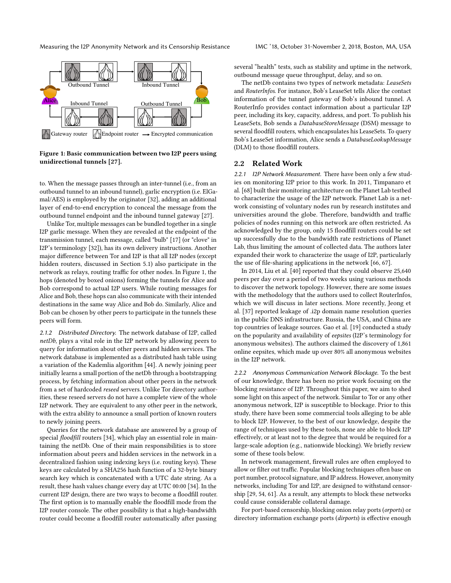Measuring the I2P Anonymity Network and its Censorship Resistance IMC '18, October 31-November 2, 2018, Boston, MA, USA

<span id="page-2-0"></span>

Figure 1: Basic communication between two I2P peers using unidirectional tunnels [\[27\]](#page-13-28).

to. When the message passes through an inter-tunnel (i.e., from an outbound tunnel to an inbound tunnel), garlic encryption (i.e. ElGamal/AES) is employed by the originator [\[32\]](#page-13-29), adding an additional layer of end-to-end encryption to conceal the message from the outbound tunnel endpoint and the inbound tunnel gateway [\[27\]](#page-13-28).

Unlike Tor, multiple messages can be bundled together in a single I2P garlic message. When they are revealed at the endpoint of the transmission tunnel, each message, called "bulb" [\[17\]](#page-13-25) (or "clove" in I2P's terminology [\[32\]](#page-13-29)), has its own delivery instructions. Another major difference between Tor and I2P is that all I2P nodes (except hidden routers, discussed in Section [5.1\)](#page-6-1) also participate in the network as relays, routing traffic for other nodes. In Figure [1,](#page-2-0) the hops (denoted by boxed onions) forming the tunnels for Alice and Bob correspond to actual I2P users. While routing messages for Alice and Bob, these hops can also communicate with their intended destinations in the same way Alice and Bob do. Similarly, Alice and Bob can be chosen by other peers to participate in the tunnels these peers will form.

<span id="page-2-1"></span>2.1.2 Distributed Directory. The network database of I2P, called netDb, plays a vital role in the I2P network by allowing peers to query for information about other peers and hidden services. The network database is implemented as a distributed hash table using a variation of the Kademlia algorithm [\[44\]](#page-13-30). A newly joining peer initially learns a small portion of the netDb through a bootstrapping process, by fetching information about other peers in the network from a set of hardcoded reseed servers. Unlike Tor directory authorities, these reseed servers do not have a complete view of the whole I2P network. They are equivalent to any other peer in the network, with the extra ability to announce a small portion of known routers to newly joining peers.

Queries for the network database are answered by a group of special floodfill routers [\[34\]](#page-13-27), which play an essential role in maintaining the netDb. One of their main responsibilities is to store information about peers and hidden services in the network in a decentralized fashion using indexing keys (i.e. routing keys). These keys are calculated by a SHA256 hash function of a 32-byte binary search key which is concatenated with a UTC date string. As a result, these hash values change every day at UTC 00:00 [\[34\]](#page-13-27). In the current I2P design, there are two ways to become a floodfill router. The first option is to manually enable the floodfill mode from the I2P router console. The other possibility is that a high-bandwidth router could become a floodfill router automatically after passing

several "health" tests, such as stability and uptime in the network, outbound message queue throughput, delay, and so on.

The netDb contains two types of network metadata: LeaseSets and RouterInfos. For instance, Bob's LeaseSet tells Alice the contact information of the tunnel gateway of Bob's inbound tunnel. A RouterInfo provides contact information about a particular I2P peer, including its key, capacity, address, and port. To publish his LeaseSets, Bob sends a DatabaseStoreMessage (DSM) message to several floodfill routers, which encapsulates his LeaseSets. To query Bob's LeaseSet information, Alice sends a DatabaseLookupMessage (DLM) to those floodfill routers.

## 2.2 Related Work

2.2.1 I2P Network Measurement. There have been only a few studies on monitoring I2P prior to this work. In 2011, Timpanaro et al. [\[68\]](#page-13-13) built their monitoring architecture on the Planet Lab testbed to characterize the usage of the I2P network. Planet Lab is a network consisting of voluntary nodes run by research institutes and universities around the globe. Therefore, bandwidth and traffic policies of nodes running on this network are often restricted. As acknowledged by the group, only 15 floodfill routers could be set up successfully due to the bandwidth rate restrictions of Planet Lab, thus limiting the amount of collected data. The authors later expanded their work to characterize the usage of I2P, particularly the use of file-sharing applications in the network [\[66,](#page-13-31) [67\]](#page-13-32).

In 2014, Liu et al. [\[40\]](#page-13-20) reported that they could observe 25,640 peers per day over a period of two weeks using various methods to discover the network topology. However, there are some issues with the methodology that the authors used to collect RouterInfos, which we will discuss in later sections. More recently, Jeong et al. [\[37\]](#page-13-33) reported leakage of .i2p domain name resolution queries in the public DNS infrastructure. Russia, the USA, and China are top countries of leakage sources. Gao et al. [\[19\]](#page-13-19) conducted a study on the popularity and availability of eepsites (I2P's terminology for anonymous websites). The authors claimed the discovery of 1,861 online eepsites, which made up over 80% all anonymous websites in the I2P network.

2.2.2 Anonymous Communication Network Blockage. To the best of our knowledge, there has been no prior work focusing on the blocking resistance of I2P. Throughout this paper, we aim to shed some light on this aspect of the network. Similar to Tor or any other anonymous network, I2P is susceptible to blockage. Prior to this study, there have been some commercial tools alleging to be able to block I2P. However, to the best of our knowledge, despite the range of techniques used by these tools, none are able to block I2P effectively, or at least not to the degree that would be required for a large-scale adoption (e.g., nationwide blocking). We briefly review some of these tools below.

In network management, firewall rules are often employed to allow or filter out traffic. Popular blocking techniques often base on port number, protocol signature, and IP address. However, anonymity networks, including Tor and I2P, are designed to withstand censorship [\[29,](#page-13-34) [54,](#page-13-35) [61\]](#page-13-36). As a result, any attempts to block these networks could cause considerable collateral damage.

For port-based censorship, blocking onion relay ports (orports) or directory information exchange ports (dirports) is effective enough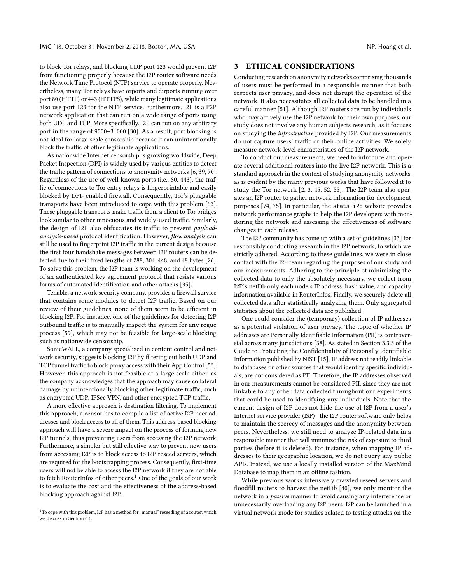to block Tor relays, and blocking UDP port 123 would prevent I2P from functioning properly because the I2P router software needs the Network Time Protocol (NTP) service to operate properly. Nevertheless, many Tor relays have orports and dirports running over port 80 (HTTP) or 443 (HTTPS), while many legitimate applications also use port 123 for the NTP service. Furthermore, I2P is a P2P network application that can run on a wide range of ports using both UDP and TCP. More specifically, I2P can run on any arbitrary port in the range of 9000–31000 [\[30\]](#page-13-37). As a result, port blocking is not ideal for large-scale censorship because it can unintentionally block the traffic of other legitimate applications.

As nationwide Internet censorship is growing worldwide, Deep Packet Inspection (DPI) is widely used by various entities to detect the traffic pattern of connections to anonymity networks [\[6,](#page-12-10) [39,](#page-13-38) [70\]](#page-13-39). Regardless of the use of well-known ports (i.e., 80, 443), the traffic of connections to Tor entry relays is fingerprintable and easily blocked by DPI- enabled firewall. Consequently, Tor's pluggable transports have been introduced to cope with this problem [\[63\]](#page-13-40). These pluggable transports make traffic from a client to Tor bridges look similar to other innocuous and widely-used traffic. Similarly, the design of I2P also obfuscates its traffic to prevent payloadanalysis-based protocol identification. However, flow analysis can still be used to fingerprint I2P traffic in the current design because the first four handshake messages between I2P routers can be detected due to their fixed lengths of 288, 304, 448, and 48 bytes [\[26\]](#page-13-41). To solve this problem, the I2P team is working on the development of an authenticated key agreement protocol that resists various forms of automated identification and other attacks [\[35\]](#page-13-42).

Tenable, a network security company, provides a firewall service that contains some modules to detect I2P traffic. Based on our review of their guidelines, none of them seem to be efficient in blocking I2P. For instance, one of the guidelines for detecting I2P outbound traffic is to manually inspect the system for any rogue process [\[59\]](#page-13-43), which may not be feasible for large-scale blocking such as nationwide censorship.

SonicWALL, a company specialized in content control and network security, suggests blocking I2P by filtering out both UDP and TCP tunnel traffic to block proxy access with their App Control [\[53\]](#page-13-44). However, this approach is not feasible at a large scale either, as the company acknowledges that the approach may cause collateral damage by unintentionally blocking other legitimate traffic, such as encrypted UDP, IPSec VPN, and other encrypted TCP traffic.

A more effective approach is destination filtering. To implement this approach, a censor has to compile a list of active I2P peer addresses and block access to all of them. This address-based blocking approach will have a severe impact on the process of forming new I2P tunnels, thus preventing users from accessing the I2P network. Furthermore, a simpler but still effective way to prevent new users from accessing I2P is to block access to I2P reseed servers, which are required for the bootstrapping process. Consequently, first-time users will not be able to access the I2P network if they are not able to fetch RouterInfos of other peers.<sup>[1](#page-3-1)</sup> One of the goals of our work is to evaluate the cost and the effectiveness of the address-based blocking approach against I2P.

#### <span id="page-3-0"></span>3 ETHICAL CONSIDERATIONS

Conducting research on anonymity networks comprising thousands of users must be performed in a responsible manner that both respects user privacy, and does not disrupt the operation of the network. It also necessitates all collected data to be handled in a careful manner [\[51\]](#page-13-45). Although I2P routers are run by individuals who may actively use the I2P network for their own purposes, our study does not involve any human subjects research, as it focuses on studying the infrastructure provided by I2P. Our measurements do not capture users' traffic or their online activities. We solely measure network-level characteristics of the I2P network.

To conduct our measurements, we need to introduce and operate several additional routers into the live I2P network. This is a standard approach in the context of studying anonymity networks, as is evident by the many previous works that have followed it to study the Tor network [\[2,](#page-12-11) [3,](#page-12-12) [45,](#page-13-12) [52,](#page-13-46) [55\]](#page-13-47). The I2P team also operates an I2P router to gather network information for development purposes [\[74,](#page-13-8) [75\]](#page-13-48). In particular, the stats.i2p website provides network performance graphs to help the I2P developers with monitoring the network and assessing the effectiveness of software changes in each release.

The I2P community has come up with a set of guidelines [\[33\]](#page-13-49) for responsibly conducting research in the I2P network, to which we strictly adhered. According to these guidelines, we were in close contact with the I2P team regarding the purposes of our study and our measurements. Adhering to the principle of minimizing the collected data to only the absolutely necessary, we collect from I2P's netDb only each node's IP address, hash value, and capacity information available in RouterInfos. Finally, we securely delete all collected data after statistically analyzing them. Only aggregated statistics about the collected data are published.

One could consider the (temporary) collection of IP addresses as a potential violation of user privacy. The topic of whether IP addresses are Personally Identifiable Information (PII) is controversial across many jurisdictions [\[38\]](#page-13-50). As stated in Section 3.3.3 of the Guide to Protecting the Confidentiality of Personally Identifiable Information published by NIST [\[15\]](#page-12-13), IP address not readily linkable to databases or other sources that would identify specific individuals, are not considered as PII. Therefore, the IP addresses observed in our measurements cannot be considered PII, since they are not linkable to any other data collected throughout our experiments that could be used to identifying any individuals. Note that the current design of I2P does not hide the use of I2P from a user's Internet service provider (ISP)—the I2P router software only helps to maintain the secrecy of messages and the anonymity between peers. Nevertheless, we still need to analyze IP-related data in a responsible manner that will minimize the risk of exposure to third parties (before it is deleted). For instance, when mapping IP addresses to their geographic location, we do not query any public APIs. Instead, we use a locally installed version of the MaxMind Database to map them in an offline fashion.

While previous works intensively crawled reseed servers and floodfill routers to harvest the netDb [\[40\]](#page-13-20), we only monitor the network in a passive manner to avoid causing any interference or unnecessarily overloading any I2P peers. I2P can be launched in a virtual network mode for studies related to testing attacks on the

<span id="page-3-1"></span> $^1\rm{To}$  cope with this problem, I2P has a method for "manual" reseeding of a router, which we discuss in Section [6.1.](#page-10-1)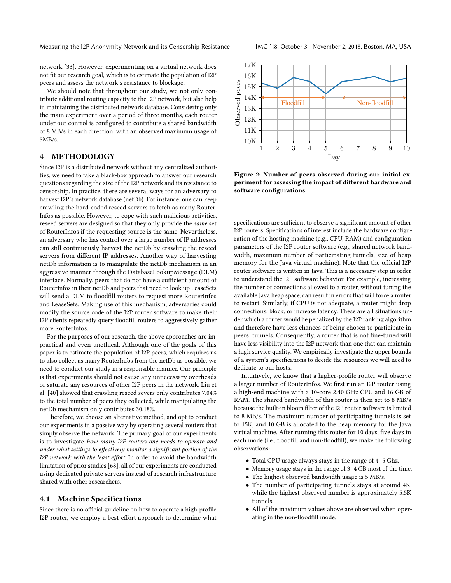network [\[33\]](#page-13-49). However, experimenting on a virtual network does not fit our research goal, which is to estimate the population of I2P peers and assess the network's resistance to blockage.

We should note that throughout our study, we not only contribute additional routing capacity to the I2P network, but also help in maintaining the distributed network database. Considering only the main experiment over a period of three months, each router under our control is configured to contribute a shared bandwidth of 8 MB/s in each direction, with an observed maximum usage of 5MB/s.

# <span id="page-4-0"></span>4 METHODOLOGY

Since I2P is a distributed network without any centralized authorities, we need to take a black-box approach to answer our research questions regarding the size of the I2P network and its resistance to censorship. In practice, there are several ways for an adversary to harvest I2P's network database (netDb). For instance, one can keep crawling the hard-coded reseed servers to fetch as many Router-Infos as possible. However, to cope with such malicious activities, reseed servers are designed so that they only provide the same set of RouterInfos if the requesting source is the same. Nevertheless, an adversary who has control over a large number of IP addresses can still continuously harvest the netDb by crawling the reseed servers from different IP addresses. Another way of harvesting netDb information is to manipulate the netDb mechanism in an aggressive manner through the DatabaseLookupMessage (DLM) interface. Normally, peers that do not have a sufficient amount of RouterInfos in their netDb and peers that need to look up LeaseSets will send a DLM to floodfill routers to request more RouterInfos and LeaseSets. Making use of this mechanism, adversaries could modify the source code of the I2P router software to make their I2P clients repeatedly query floodfill routers to aggressively gather more RouterInfos.

For the purposes of our research, the above approaches are impractical and even unethical. Although one of the goals of this paper is to estimate the population of I2P peers, which requires us to also collect as many RouterInfos from the netDb as possible, we need to conduct our study in a responsible manner. Our principle is that experiments should not cause any unnecessary overheads or saturate any resources of other I2P peers in the network. Liu et al. [\[40\]](#page-13-20) showed that crawling reseed severs only contributes 7.04% to the total number of peers they collected, while manipulating the netDb mechanism only contributes 30.18%.

Therefore, we choose an alternative method, and opt to conduct our experiments in a passive way by operating several routers that simply observe the network. The primary goal of our experiments is to investigate how many I2P routers one needs to operate and under what settings to effectively monitor a significant portion of the I2P network with the least effort. In order to avoid the bandwidth limitation of prior studies [\[68\]](#page-13-13), all of our experiments are conducted using dedicated private servers instead of research infrastructure shared with other researchers.

## <span id="page-4-2"></span>4.1 Machine Specifications

Since there is no official guideline on how to operate a high-profile I2P router, we employ a best-effort approach to determine what

<span id="page-4-1"></span>

Figure 2: Number of peers observed during our initial experiment for assessing the impact of different hardware and software configurations.

specifications are sufficient to observe a significant amount of other I2P routers. Specifications of interest include the hardware configuration of the hosting machine (e.g., CPU, RAM) and configuration parameters of the I2P router software (e.g., shared network bandwidth, maximum number of participating tunnels, size of heap memory for the Java virtual machine). Note that the official I2P router software is written in Java. This is a necessary step in order to understand the I2P software behavior. For example, increasing the number of connections allowed to a router, without tuning the available Java heap space, can result in errors that will force a router to restart. Similarly, if CPU is not adequate, a router might drop connections, block, or increase latency. These are all situations under which a router would be penalized by the I2P ranking algorithm and therefore have less chances of being chosen to participate in peers' tunnels. Consequently, a router that is not fine-tuned will have less visibility into the I2P network than one that can maintain a high service quality. We empirically investigate the upper bounds of a system's specifications to decide the resources we will need to dedicate to our hosts.

Intuitively, we know that a higher-profile router will observe a larger number of RouterInfos. We first run an I2P router using a high-end machine with a 10-core 2.40 GHz CPU and 16 GB of RAM. The shared bandwidth of this router is then set to 8 MB/s because the built-in bloom filter of the I2P router software is limited to 8 MB/s. The maximum number of participating tunnels is set to 15K, and 10 GB is allocated to the heap memory for the Java virtual machine. After running this router for 10 days, five days in each mode (i.e., floodfill and non-floodfill), we make the following observations:

- Total CPU usage always stays in the range of 4–5 Ghz.
- Memory usage stays in the range of 3–4 GB most of the time.
- The highest observed bandwidth usage is 5 MB/s.
- The number of participating tunnels stays at around 4K, while the highest observed number is approximately 5.5K tunnels.
- All of the maximum values above are observed when operating in the non-floodfill mode.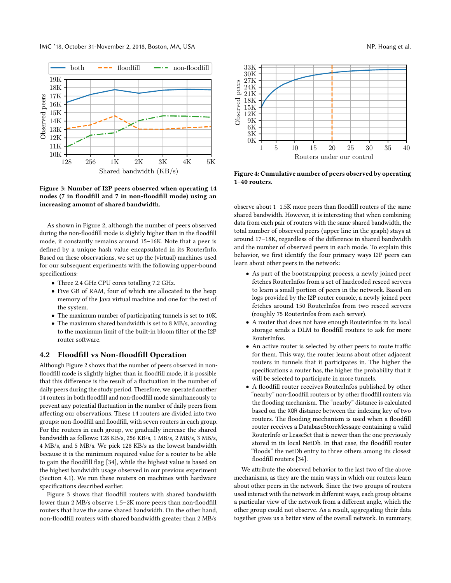<span id="page-5-0"></span>

Figure 3: Number of I2P peers observed when operating 14 nodes (7 in floodfill and 7 in non-floodfill mode) using an increasing amount of shared bandwidth.

As shown in Figure [2,](#page-4-1) although the number of peers observed during the non-floodfill mode is slightly higher than in the floodfill mode, it constantly remains around 15–16K. Note that a peer is defined by a unique hash value encapsulated in its RouterInfo. Based on these observations, we set up the (virtual) machines used for our subsequent experiments with the following upper-bound specifications:

- Three 2.4 GHz CPU cores totalling 7.2 GHz.
- Five GB of RAM, four of which are allocated to the heap memory of the Java virtual machine and one for the rest of the system.
- The maximum number of participating tunnels is set to 10K.
- The maximum shared bandwidth is set to 8 MB/s, according to the maximum limit of the built-in bloom filter of the I2P router software.

#### <span id="page-5-1"></span>4.2 Floodfill vs Non-floodfill Operation

Although Figure [2](#page-4-1) shows that the number of peers observed in nonfloodfill mode is slightly higher than in floodfill mode, it is possible that this difference is the result of a fluctuation in the number of daily peers during the study period. Therefore, we operated another 14 routers in both floodfill and non-floodfill mode simultaneously to prevent any potential fluctuation in the number of daily peers from affecting our observations. These 14 routers are divided into two groups: non-floodfill and floodfill, with seven routers in each group. For the routers in each group, we gradually increase the shared bandwidth as follows: 128 KB/s, 256 KB/s, 1 MB/s, 2 MB/s, 3 MB/s, 4 MB/s, and 5 MB/s. We pick 128 KB/s as the lowest bandwidth because it is the minimum required value for a router to be able to gain the floodfill flag [\[34\]](#page-13-27), while the highest value is based on the highest bandwidth usage observed in our previous experiment (Section [4.1\)](#page-4-2). We run these routers on machines with hardware specifications described earlier.

Figure [3](#page-5-0) shows that floodfill routers with shared bandwidth lower than 2 MB/s observe 1.5–2K more peers than non-floodfill routers that have the same shared bandwidth. On the other hand, non-floodfill routers with shared bandwidth greater than 2 MB/s

<span id="page-5-2"></span>

Figure 4: Cumulative number of peers observed by operating 1–40 routers.

observe about 1–1.5K more peers than floodfill routers of the same shared bandwidth. However, it is interesting that when combining data from each pair of routers with the same shared bandwidth, the total number of observed peers (upper line in the graph) stays at around 17–18K, regardless of the difference in shared bandwidth and the number of observed peers in each mode. To explain this behavior, we first identify the four primary ways I2P peers can learn about other peers in the network:

- As part of the bootstrapping process, a newly joined peer fetches RouterInfos from a set of hardcoded reseed servers to learn a small portion of peers in the network. Based on logs provided by the I2P router console, a newly joined peer fetches around 150 RouterInfos from two reseed servers (roughly 75 RouterInfos from each server).
- A router that does not have enough RouterInfos in its local storage sends a DLM to floodfill routers to ask for more RouterInfos.
- An active router is selected by other peers to route traffic for them. This way, the router learns about other adjacent routers in tunnels that it participates in. The higher the specifications a router has, the higher the probability that it will be selected to participate in more tunnels.
- A floodfill router receives RouterInfos published by other "nearby" non-floodfill routers or by other floodfill routers via the flooding mechanism. The "nearby" distance is calculated based on the XOR distance between the indexing key of two routers. The flooding mechanism is used when a floodfill router receives a DatabaseStoreMessage containing a valid RouterInfo or LeaseSet that is newer than the one previously stored in its local NetDb. In that case, the floodfill router "floods" the netDb entry to three others among its closest floodfill routers [\[34\]](#page-13-27).

We attribute the observed behavior to the last two of the above mechanisms, as they are the main ways in which our routers learn about other peers in the network. Since the two groups of routers used interact with the network in different ways, each group obtains a particular view of the network from a different angle, which the other group could not observe. As a result, aggregating their data together gives us a better view of the overall network. In summary,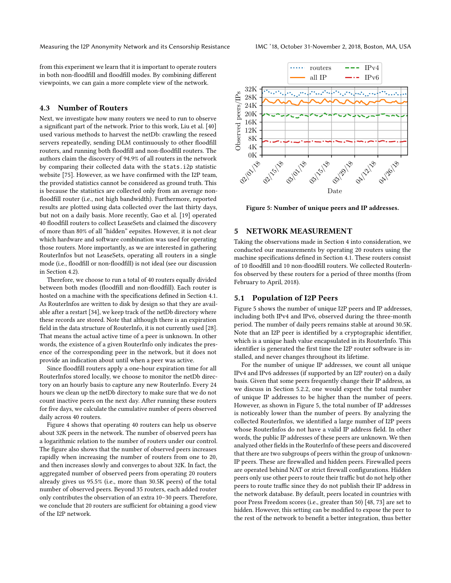from this experiment we learn that it is important to operate routers in both non-floodfill and floodfill modes. By combining different viewpoints, we can gain a more complete view of the network.

#### <span id="page-6-3"></span>4.3 Number of Routers

Next, we investigate how many routers we need to run to observe a significant part of the network. Prior to this work, Liu et al. [\[40\]](#page-13-20) used various methods to harvest the netDb: crawling the reseed servers repeatedly, sending DLM continuously to other floodfill routers, and running both floodfill and non-floodfill routers. The authors claim the discovery of 94.9% of all routers in the network by comparing their collected data with the stats.i2p statistic website [\[75\]](#page-13-48). However, as we have confirmed with the I2P team, the provided statistics cannot be considered as ground truth. This is because the statistics are collected only from an average nonfloodfill router (i.e., not high bandwidth). Furthermore, reported results are plotted using data collected over the last thirty days, but not on a daily basis. More recently, Gao et al. [\[19\]](#page-13-19) operated 40 floodfill routers to collect LeaseSets and claimed the discovery of more than 80% of all "hidden" eepsites. However, it is not clear which hardware and software combination was used for operating those routers. More importantly, as we are interested in gathering RouterInfos but not LeaseSets, operating all routers in a single mode (i.e., floodfill or non-floodfill) is not ideal (see our discussion in Section [4.2\)](#page-5-1).

Therefore, we choose to run a total of 40 routers equally divided between both modes (floodfill and non-floodfill). Each router is hosted on a machine with the specifications defined in Section [4.1.](#page-4-2) As RouterInfos are written to disk by design so that they are available after a restart [\[34\]](#page-13-27), we keep track of the netDb directory where these records are stored. Note that although there is an expiration field in the data structure of RouterInfo, it is not currently used [\[28\]](#page-13-51). That means the actual active time of a peer is unknown. In other words, the existence of a given RouterInfo only indicates the presence of the corresponding peer in the network, but it does not provide an indication about until when a peer was active.

Since floodfill routers apply a one-hour expiration time for all RouterInfos stored locally, we choose to monitor the netDb directory on an hourly basis to capture any new RouterInfo. Every 24 hours we clean up the netDb directory to make sure that we do not count inactive peers on the next day. After running these routers for five days, we calculate the cumulative number of peers observed daily across 40 routers.

Figure [4](#page-5-2) shows that operating 40 routers can help us observe about 32K peers in the network. The number of observed peers has a logarithmic relation to the number of routers under our control. The figure also shows that the number of observed peers increases rapidly when increasing the number of routers from one to 20, and then increases slowly and converges to about 32K. In fact, the aggregated number of observed peers from operating 20 routers already gives us 95.5% (i.e., more than 30.5K peers) of the total number of observed peers. Beyond 35 routers, each added router only contributes the observation of an extra 10–30 peers. Therefore, we conclude that 20 routers are sufficient for obtaining a good view of the I2P network.

<span id="page-6-2"></span>

Figure 5: Number of unique peers and IP addresses.

# <span id="page-6-0"></span>5 NETWORK MEASUREMENT

Taking the observations made in Section [4](#page-4-0) into consideration, we conducted our measurements by operating 20 routers using the machine specifications defined in Section [4.1.](#page-4-2) These routers consist of 10 floodfill and 10 non-floodfill routers. We collected RouterInfos observed by these routers for a period of three months (from February to April, 2018).

## <span id="page-6-1"></span>5.1 Population of I2P Peers

Figure [5](#page-6-2) shows the number of unique I2P peers and IP addresses, including both IPv4 and IPv6, observed during the three-month period. The number of daily peers remains stable at around 30.5K. Note that an I2P peer is identified by a cryptographic identifier, which is a unique hash value encapsulated in its RouterInfo. This identifier is generated the first time the I2P router software is installed, and never changes throughout its lifetime.

For the number of unique IP addresses, we count all unique IPv4 and IPv6 addresses (if supported by an I2P router) on a daily basis. Given that some peers frequently change their IP address, as we discuss in Section [5.2.2,](#page-7-0) one would expect the total number of unique IP addresses to be higher than the number of peers. However, as shown in Figure [5,](#page-6-2) the total number of IP addresses is noticeably lower than the number of peers. By analyzing the collected RouterInfos, we identified a large number of I2P peers whose RouterInfos do not have a valid IP address field. In other words, the public IP addresses of these peers are unknown. We then analyzed other fields in the RouterInfo of these peers and discovered that there are two subgroups of peers within the group of unknown-IP peers. These are firewalled and hidden peers. Firewalled peers are operated behind NAT or strict firewall configurations. Hidden peers only use other peers to route their traffic but do not help other peers to route traffic since they do not publish their IP address in the network database. By default, peers located in countries with poor Press Freedom scores (i.e., greater than 50) [\[48,](#page-13-21) [73\]](#page-13-52) are set to hidden. However, this setting can be modified to expose the peer to the rest of the network to benefit a better integration, thus better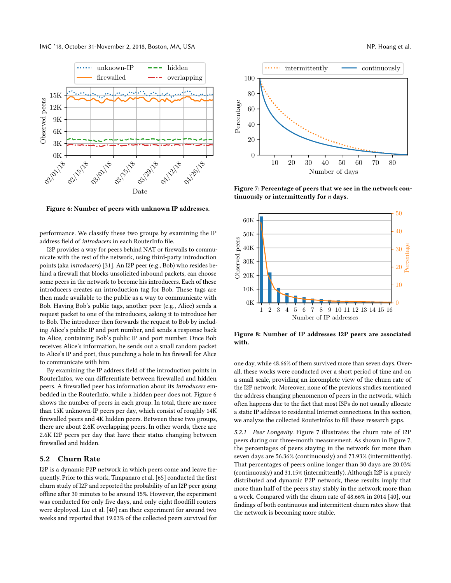IMC '18, October 31-November 2, 2018, Boston, MA, USA NP. Hoang et al.

<span id="page-7-1"></span>

Figure 6: Number of peers with unknown IP addresses.

performance. We classify these two groups by examining the IP address field of introducers in each RouterInfo file.

I2P provides a way for peers behind NAT or firewalls to communicate with the rest of the network, using third-party introduction points (aka introducers) [\[31\]](#page-13-53). An I2P peer (e.g., Bob) who resides behind a firewall that blocks unsolicited inbound packets, can choose some peers in the network to become his introducers. Each of these introducers creates an introduction tag for Bob. These tags are then made available to the public as a way to communicate with Bob. Having Bob's public tags, another peer (e.g., Alice) sends a request packet to one of the introducers, asking it to introduce her to Bob. The introducer then forwards the request to Bob by including Alice's public IP and port number, and sends a response back to Alice, containing Bob's public IP and port number. Once Bob receives Alice's information, he sends out a small random packet to Alice's IP and port, thus punching a hole in his firewall for Alice to communicate with him.

By examining the IP address field of the introduction points in RouterInfos, we can differentiate between firewalled and hidden peers. A firewalled peer has information about its introducers embedded in the RouterInfo, while a hidden peer does not. Figure [6](#page-7-1) shows the number of peers in each group. In total, there are more than 15K unknown-IP peers per day, which consist of roughly 14K firewalled peers and 4K hidden peers. Between these two groups, there are about 2.6K overlapping peers. In other words, there are 2.6K I2P peers per day that have their status changing between firewalled and hidden.

## <span id="page-7-4"></span>5.2 Churn Rate

I2P is a dynamic P2P network in which peers come and leave frequently. Prior to this work, Timpanaro et al. [\[65\]](#page-13-54) conducted the first churn study of I2P and reported the probability of an I2P peer going offline after 30 minutes to be around 15%. However, the experiment was conducted for only five days, and only eight floodfill routers were deployed. Liu et al. [\[40\]](#page-13-20) ran their experiment for around two weeks and reported that 19.03% of the collected peers survived for

<span id="page-7-2"></span>

Figure 7: Percentage of peers that we see in the network continuously or intermittently for n days.

<span id="page-7-3"></span>

Figure 8: Number of IP addresses I2P peers are associated with.

one day, while 48.66% of them survived more than seven days. Overall, these works were conducted over a short period of time and on a small scale, providing an incomplete view of the churn rate of the I2P network. Moreover, none of the previous studies mentioned the address changing phenomenon of peers in the network, which often happens due to the fact that most ISPs do not usually allocate a static IP address to residential Internet connections. In this section, we analyze the collected RouterInfos to fill these research gaps.

<span id="page-7-0"></span>5.2.1 Peer Longevity. Figure [7](#page-7-2) illustrates the churn rate of I2P peers during our three-month measurement. As shown in Figure [7,](#page-7-2) the percentages of peers staying in the network for more than seven days are 56.36% (continuously) and 73.93% (intermittently). That percentages of peers online longer than 30 days are 20.03% (continuously) and 31.15% (intermittently). Although I2P is a purely distributed and dynamic P2P network, these results imply that more than half of the peers stay stably in the network more than a week. Compared with the churn rate of 48.66% in 2014 [\[40\]](#page-13-20), our findings of both continuous and intermittent churn rates show that the network is becoming more stable.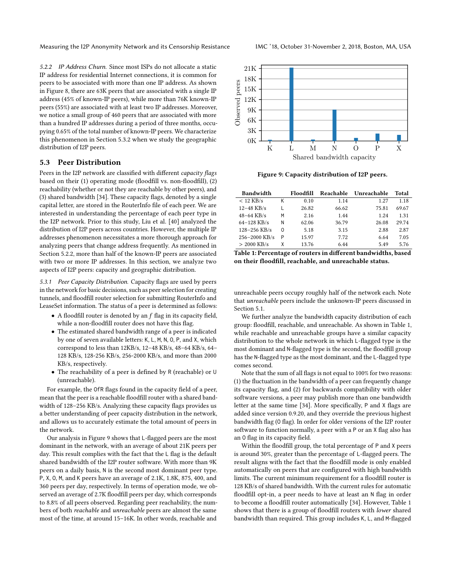5.2.2 IP Address Churn. Since most ISPs do not allocate a static IP address for residential Internet connections, it is common for peers to be associated with more than one IP address. As shown in Figure [8,](#page-7-3) there are 63K peers that are associated with a single IP address (45% of known-IP peers), while more than 76K known-IP peers (55%) are associated with at least two IP addresses. Moreover, we notice a small group of 460 peers that are associated with more than a hundred IP addresses during a period of three months, occupying 0.65% of the total number of known-IP peers. We characterize this phenomenon in Section [5.3.2](#page-9-0) when we study the geographic distribution of I2P peers.

# <span id="page-8-2"></span>5.3 Peer Distribution

Peers in the I2P network are classified with different capacity flags based on their (1) operating mode (floodfill vs. non-floodfill), (2) reachability (whether or not they are reachable by other peers), and (3) shared bandwidth [\[34\]](#page-13-27). These capacity flags, denoted by a single capital letter, are stored in the RouterInfo file of each peer. We are interested in understanding the percentage of each peer type in the I2P network. Prior to this study, Liu et al. [\[40\]](#page-13-20) analyzed the distribution of I2P peers across countries. However, the multiple IP addresses phenomenon necessitates a more thorough approach for analyzing peers that change address frequently. As mentioned in Section [5.2.2,](#page-7-0) more than half of the known-IP peers are associated with two or more IP addresses. In this section, we analyze two aspects of I2P peers: capacity and geographic distribution.

5.3.1 Peer Capacity Distribution. Capacity flags are used by peers in the network for basic decisions, such as peer selection for creating tunnels, and floodfill router selection for submitting RouterInfo and LeaseSet information. The status of a peer is determined as follows:

- $\bullet$  A floodfill router is denoted by an  $f$  flag in its capacity field, while a non-floodfill router does not have this flag.
- The estimated shared bandwidth range of a peer is indicated by one of seven available letters: K, L, M, N, O, P, and X, which correspond to less than 12KB/s, 12–48 KB/s, 48–64 KB/s, 64– 128 KB/s, 128-256 KB/s, 256-2000 KB/s, and more than 2000 KB/s, respectively.
- The reachability of a peer is defined by R (reachable) or U (unreachable).

For example, the OfR flags found in the capacity field of a peer, mean that the peer is a reachable floodfill router with a shared bandwidth of 128–256 KB/s. Analyzing these capacity flags provides us a better understanding of peer capacity distribution in the network, and allows us to accurately estimate the total amount of peers in the network.

Our analysis in Figure [9](#page-8-0) shows that L-flagged peers are the most dominant in the network, with an average of about 21K peers per day. This result complies with the fact that the L flag is the default shared bandwidth of the I2P router software. With more than 9K peers on a daily basis, N is the second most dominant peer type. P, X, O, M, and K peers have an average of 2.1K, 1.8K, 875, 400, and 360 peers per day, respectively. In terms of operation mode, we observed an average of 2.7K floodfill peers per day, which corresponds to 8.8% of all peers observed. Regarding peer reachability, the numbers of both reachable and unreachable peers are almost the same most of the time, at around 15–16K. In other words, reachable and



<span id="page-8-0"></span>

Figure 9: Capacity distribution of I2P peers.

<span id="page-8-1"></span>

| <b>Bandwidth</b>  |   | Floodfill | Reachable | Unreachable | Total |
|-------------------|---|-----------|-----------|-------------|-------|
| $< 12$ KB/s       | Κ | 0.10      | 1.14      | 1.27        | 1.18  |
| $12 - 48$ KB/s    |   | 26.82     | 66.62     | 75.81       | 69.67 |
| $48 - 64$ KB/s    | М | 2.16      | 1.44      | 1.24        | 1.31  |
| $64 - 128$ KB/s   | Ν | 62.06     | 36.79     | 26.08       | 29.74 |
| $128 - 256$ KB/s  | 0 | 5.18      | 3.15      | 2.88        | 2.87  |
| $256 - 2000$ KB/s | P | 15.97     | 7.72      | 6.64        | 7.05  |
| $> 2000$ KB/s     | χ | 13.76     | 6.44      | 5.49        | 5.76  |

> <sup>2000</sup> KB/s <sup>X</sup> 13.76 6.44 5.49 5.76 Table 1: Percentage of routers in different bandwidths, based on their floodfill, reachable, and unreachable status.

unreachable peers occupy roughly half of the network each. Note that unreachable peers include the unknown-IP peers discussed in Section [5.1.](#page-6-1)

We further analyze the bandwidth capacity distribution of each group: floodfill, reachable, and unreachable. As shown in Table [1,](#page-8-1) while reachable and unreachable groups have a similar capacity distribution to the whole network in which L-flagged type is the most dominant and N-flagged type is the second, the floodfill group has the N-flagged type as the most dominant, and the L-flagged type comes second.

Note that the sum of all flags is not equal to 100% for two reasons: (1) the fluctuation in the bandwidth of a peer can frequently change its capacity flag, and (2) for backwards compatibility with older software versions, a peer may publish more than one bandwidth letter at the same time [\[34\]](#page-13-27). More specifically, P and X flags are added since version 0.9.20, and they override the previous highest bandwidth flag (O flag). In order for older versions of the I2P router software to function normally, a peer with a P or an X flag also has an O flag in its capacity field.

Within the floodfill group, the total percentage of P and X peers is around 30%, greater than the percentage of L-flagged peers. The result aligns with the fact that the floodfill mode is only enabled automatically on peers that are configured with high bandwidth limits. The current minimum requirement for a floodfill router is 128 KB/s of shared bandwidth. With the current rules for automatic floodfill opt-in, a peer needs to have at least an N flag in order to become a floodfill router automatically [\[34\]](#page-13-27). However, Table [1](#page-8-1) shows that there is a group of floodfill routers with lower shared bandwidth than required. This group includes K, L, and M-flagged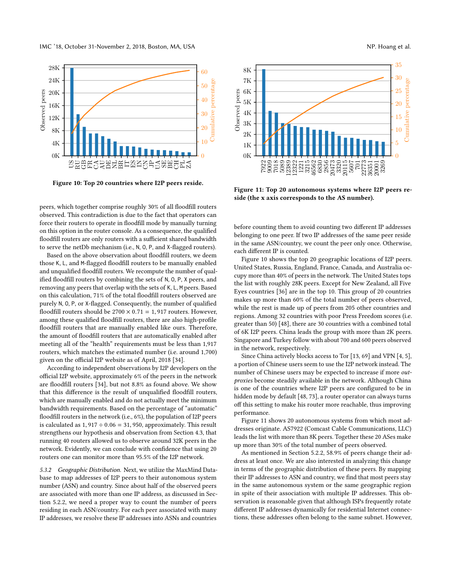

<span id="page-9-1"></span>

Figure 10: Top 20 countries where I2P peers reside.

peers, which together comprise roughly 30% of all floodfill routers observed. This contradiction is due to the fact that operators can force their routers to operate in floodfill mode by manually turning on this option in the router console. As a consequence, the qualified floodfill routers are only routers with a sufficient shared bandwidth to serve the netDb mechanism (i.e., N, O, P, and X-flagged routers).

Based on the above observation about floodfill routers, we deem those K, L, and M-flagged floodfill routers to be manually enabled and unqualified floodfill routers. We recompute the number of qualified floodfill routers by combining the sets of N, O, P, X peers, and removing any peers that overlap with the sets of K, L, M peers. Based on this calculation, 71% of the total floodfill routers observed are purely N, O, P, or X-flagged. Consequently, the number of qualified floodfill routers should be  $2700 \times 0.71 = 1,917$  routers. However, among these qualified floodfill routers, there are also high-profile floodfill routers that are manually enabled like ours. Therefore, the amount of floodfill routers that are automatically enabled after meeting all of the "health" requirements must be less than 1,917 routers, which matches the estimated number (i.e. around 1,700) given on the official I2P website as of April, 2018 [\[34\]](#page-13-27).

According to independent observations by I2P developers on the official I2P website, approximately 6% of the peers in the network are floodfill routers [\[34\]](#page-13-27), but not 8.8% as found above. We show that this difference is the result of unqualified floodfill routers, which are manually enabled and do not actually meet the minimum bandwidth requirements. Based on the percentage of "automatic" floodfill routers in the network (i.e., 6%), the population of I2P peers is calculated as  $1,917 \div 0.06 = 31,950$ , approximately. This result strengthens our hypothesis and observation from Section [4.3,](#page-6-3) that running 40 routers allowed us to observe around 32K peers in the network. Evidently, we can conclude with confidence that using 20 routers one can monitor more than 95.5% of the I2P network.

<span id="page-9-0"></span>5.3.2 Geographic Distribution. Next, we utilize the MaxMind Database to map addresses of I2P peers to their autonomous system number (ASN) and country. Since about half of the observed peers are associated with more than one IP address, as discussed in Section [5.2.2,](#page-7-0) we need a proper way to count the number of peers residing in each ASN/country. For each peer associated with many IP addresses, we resolve these IP addresses into ASNs and countries

<span id="page-9-2"></span>

Figure 11: Top 20 autonomous systems where I2P peers reside (the x axis corresponds to the AS number).

before counting them to avoid counting two different IP addresses belonging to one peer. If two IP addresses of the same peer reside in the same ASN/country, we count the peer only once. Otherwise, each different IP is counted.

Figure [10](#page-9-1) shows the top 20 geographic locations of I2P peers. United States, Russia, England, France, Canada, and Australia occupy more than 40% of peers in the network. The United States tops the list with roughly 28K peers. Except for New Zealand, all Five Eyes countries [\[36\]](#page-13-55) are in the top 10. This group of 20 countries makes up more than 60% of the total number of peers observed, while the rest is made up of peers from 205 other countries and regions. Among 32 countries with poor Press Freedom scores (i.e. greater than 50) [\[48\]](#page-13-21), there are 30 countries with a combined total of 6K I2P peers. China leads the group with more than 2K peers. Singapore and Turkey follow with about 700 and 600 peers observed in the network, respectively.

Since China actively blocks access to Tor [\[13,](#page-12-1) [69\]](#page-13-4) and VPN [\[4,](#page-12-0) [5\]](#page-12-14), a portion of Chinese users seem to use the I2P network instead. The number of Chinese users may be expected to increase if more outproxies become steadily available in the network. Although China is one of the countries where I2P peers are configured to be in hidden mode by default [\[48,](#page-13-21) [73\]](#page-13-52), a router operator can always turns off this setting to make his router more reachable, thus improving performance.

Figure [11](#page-9-2) shows 20 autonomous systems from which most addresses originate. AS7922 (Comcast Cable Communications, LLC) leads the list with more than 8K peers. Together these 20 ASes make up more than 30% of the total number of peers observed.

As mentioned in Section [5.2.2,](#page-7-0) 58.9% of peers change their address at least once. We are also interested in analyzing this change in terms of the geographic distribution of these peers. By mapping their IP addresses to ASN and country, we find that most peers stay in the same autonomous system or the same geographic region in spite of their association with multiple IP addresses. This observation is reasonable given that although ISPs frequently rotate different IP addresses dynamically for residential Internet connections, these addresses often belong to the same subnet. However,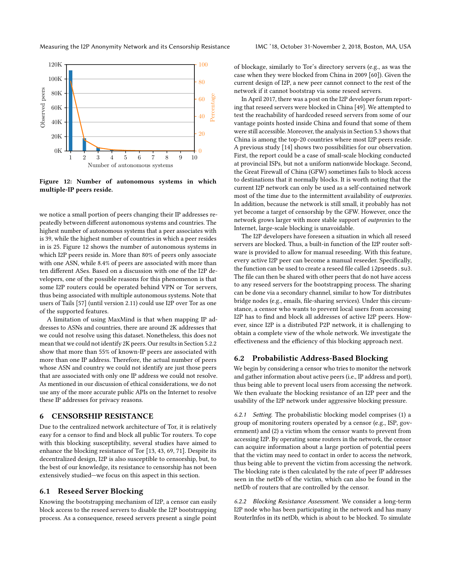<span id="page-10-2"></span>

Figure 12: Number of autonomous systems in which multiple-IP peers reside.

we notice a small portion of peers changing their IP addresses repeatedly between different autonomous systems and countries. The highest number of autonomous systems that a peer associates with is 39, while the highest number of countries in which a peer resides in is 25. Figure [12](#page-10-2) shows the number of autonomous systems in which I2P peers reside in. More than 80% of peers only associate with one ASN, while 8.4% of peers are associated with more than ten different ASes. Based on a discussion with one of the I2P developers, one of the possible reasons for this phenomenon is that some I2P routers could be operated behind VPN or Tor servers, thus being associated with multiple autonomous systems. Note that users of Tails [\[57\]](#page-13-56) (until version 2.11) could use I2P over Tor as one of the supported features.

A limitation of using MaxMind is that when mapping IP addresses to ASNs and countries, there are around 2K addresses that we could not resolve using this dataset. Nonetheless, this does not mean that we could not identify 2K peers. Our results in Section [5.2.2](#page-7-0) show that more than 55% of known-IP peers are associated with more than one IP address. Therefore, the actual number of peers whose ASN and country we could not identify are just those peers that are associated with only one IP address we could not resolve. As mentioned in our discussion of ethical considerations, we do not use any of the more accurate public APIs on the Internet to resolve these IP addresses for privacy reasons.

## <span id="page-10-0"></span>6 CENSORSHIP RESISTANCE

Due to the centralized network architecture of Tor, it is relatively easy for a censor to find and block all public Tor routers. To cope with this blocking susceptibility, several studies have aimed to enhance the blocking resistance of Tor [\[13,](#page-12-1) [43,](#page-13-57) [69,](#page-13-4) [71\]](#page-13-7). Despite its decentralized design, I2P is also susceptible to censorship, but, to the best of our knowledge, its resistance to censorship has not been extensively studied—we focus on this aspect in this section.

## <span id="page-10-1"></span>6.1 Reseed Server Blocking

Knowing the bootstrapping mechanism of I2P, a censor can easily block access to the reseed servers to disable the I2P bootstrapping process. As a consequence, reseed servers present a single point of blockage, similarly to Tor's directory servers (e.g., as was the case when they were blocked from China in 2009 [\[60\]](#page-13-22)). Given the current design of I2P, a new peer cannot connect to the rest of the network if it cannot bootstrap via some reseed servers.

In April 2017, there was a post on the I2P developer forum reporting that reseed servers were blocked in China [\[49\]](#page-13-23). We attempted to test the reachability of hardcoded reseed servers from some of our vantage points hosted inside China and found that some of them were still accessible. Moreover, the analysis in Section [5.3](#page-8-2) shows that China is among the top-20 countries where most I2P peers reside. A previous study [\[14\]](#page-12-15) shows two possibilities for our observation. First, the report could be a case of small-scale blocking conducted at provincial ISPs, but not a uniform nationwide blockage. Second, the Great Firewall of China (GFW) sometimes fails to block access to destinations that it normally blocks. It is worth noting that the current I2P network can only be used as a self-contained network most of the time due to the intermittent availability of outproxies. In addition, because the network is still small, it probably has not yet become a target of censorship by the GFW. However, once the network grows larger with more stable support of outproxies to the Internet, large-scale blocking is unavoidable.

The I2P developers have foreseen a situation in which all reseed servers are blocked. Thus, a built-in function of the I2P router software is provided to allow for manual reseeding. With this feature, every active I2P peer can become a manual reseeder. Specifically, the function can be used to create a reseed file called i2pseeds.su3. The file can then be shared with other peers that do not have access to any reseed servers for the bootstrapping process. The sharing can be done via a secondary channel, similar to how Tor distributes bridge nodes (e.g., emails, file-sharing services). Under this circumstance, a censor who wants to prevent local users from accessing I2P has to find and block all addresses of active I2P peers. However, since I2P is a distributed P2P network, it is challenging to obtain a complete view of the whole network. We investigate the effectiveness and the efficiency of this blocking approach next.

## <span id="page-10-3"></span>6.2 Probabilistic Address-Based Blocking

We begin by considering a censor who tries to monitor the network and gather information about active peers (i.e., IP address and port), thus being able to prevent local users from accessing the network. We then evaluate the blocking resistance of an I2P peer and the usability of the I2P network under aggressive blocking pressure.

6.2.1 Setting. The probabilistic blocking model comprises (1) a group of monitoring routers operated by a censor (e.g., ISP, government) and (2) a victim whom the censor wants to prevent from accessing I2P. By operating some routers in the network, the censor can acquire information about a large portion of potential peers that the victim may need to contact in order to access the network, thus being able to prevent the victim from accessing the network. The blocking rate is then calculated by the rate of peer IP addresses seen in the netDb of the victim, which can also be found in the netDb of routers that are controlled by the censor.

6.2.2 Blocking Resistance Assessment. We consider a long-term I2P node who has been participating in the network and has many RouterInfos in its netDb, which is about to be blocked. To simulate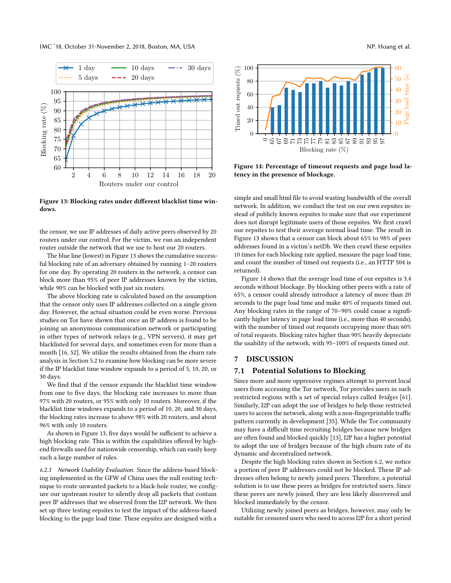#### IMC '18, October 31-November 2, 2018, Boston, MA, USA NP. Hoang et al.

<span id="page-11-1"></span>

Figure 13: Blocking rates under different blacklist time windows.

the censor, we use IP addresses of daily active peers observed by 20 routers under our control. For the victim, we run an independent router outside the network that we use to host our 20 routers.

The blue line (lowest) in Figure [13](#page-11-1) shows the cumulative successful blocking rate of an adversary obtained by running 1–20 routers for one day. By operating 20 routers in the network, a censor can block more than 95% of peer IP addresses known by the victim, while 90% can be blocked with just six routers.

The above blocking rate is calculated based on the assumption that the censor only uses IP addresses collected on a single given day. However, the actual situation could be even worse. Previous studies on Tor have shown that once an IP address is found to be joining an anonymous communication network or participating in other types of network relays (e.g., VPN servers), it may get blacklisted for several days, and sometimes even for more than a month [\[16,](#page-12-16) [52\]](#page-13-46). We utilize the results obtained from the churn rate analysis in Section [5.2](#page-7-4) to examine how blocking can be more severe if the IP blacklist time window expands to a period of 5, 10, 20, or 30 days.

We find that if the censor expands the blacklist time window from one to five days, the blocking rate increases to more than 97% with 20 routers, or 95% with only 10 routers. Moreover, if the blacklist time windows expands to a period of 10, 20, and 30 days, the blocking rates increase to above 98% with 20 routers, and about 96% with only 10 routers.

As shown in Figure [13,](#page-11-1) five days would be sufficient to achieve a high blocking rate. This is within the capabilities offered by highend firewalls used for nationwide censorship, which can easily keep such a large number of rules.

6.2.3 Network Usability Evaluation. Since the address-based blocking implemented in the GFW of China uses the null routing technique to route unwanted packets to a black-hole router, we configure our upstream router to silently drop all packets that contain peer IP addresses that we observed from the I2P network. We then set up three testing eepsites to test the impact of the address-based blocking to the page load time. These eepsites are designed with a

<span id="page-11-2"></span>

Figure 14: Percentage of timeout requests and page load latency in the presence of blockage.

simple and small html file to avoid wasting bandwidth of the overall network. In addition, we conduct the test on our own eepsites instead of publicly known eepsites to make sure that our experiment does not disrupt legitimate users of those eepsites. We first crawl our eepsites to test their average normal load time. The result in Figure [13](#page-11-1) shows that a censor can block about 65% to 98% of peer addresses found in a victim's netDb. We then crawl these eepsites 10 times for each blocking rate applied, measure the page load time, and count the number of timed out requests (i.e., an HTTP 504 is returned).

Figure [14](#page-11-2) shows that the average load time of our eepsites is 3.4 seconds without blockage. By blocking other peers with a rate of 65%, a censor could already introduce a latency of more than 20 seconds to the page load time and make 40% of requests timed out. Any blocking rates in the range of 70–90% could cause a significantly higher latency in page load time (i.e., more than 40 seconds), with the number of timed out requests occupying more than 60% of total requests. Blocking rates higher than 90% heavily depreciate the usability of the network, with 95–100% of requests timed out.

#### <span id="page-11-0"></span>7 DISCUSSION

#### 7.1 Potential Solutions to Blocking

Since more and more oppressive regimes attempt to prevent local users from accessing the Tor network, Tor provides users in such restricted regions with a set of special relays called bridges [\[61\]](#page-13-36). Similarly, I2P can adopt the use of bridges to help those restricted users to access the network, along with a non-fingerprintable traffic pattern currently in development [\[35\]](#page-13-42). While the Tor community may have a difficult time recruiting bridges because new bridges are often found and blocked quickly [\[13\]](#page-12-1), I2P has a higher potential to adopt the use of bridges because of the high churn rate of its dynamic and decentralized network.

Despite the high blocking rates shown in Section [6.2,](#page-10-3) we notice a portion of peer IP addresses could not be blocked. These IP addresses often belong to newly joined peers. Therefore, a potential solution is to use these peers as bridges for restricted users. Since these peers are newly joined, they are less likely discovered and blocked immediately by the censor.

Utilizing newly joined peers as bridges, however, may only be suitable for censored users who need to access I2P for a short period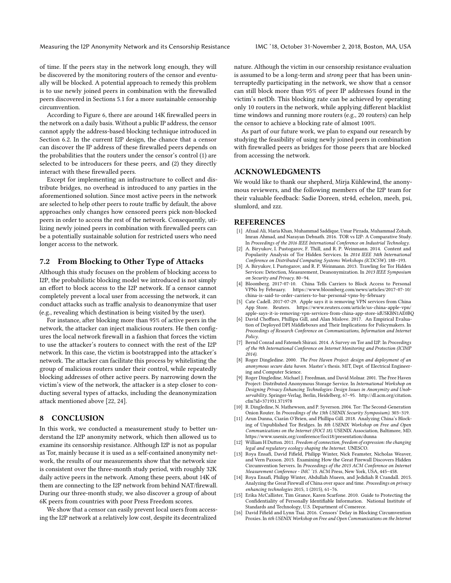of time. If the peers stay in the network long enough, they will be discovered by the monitoring routers of the censor and eventually will be blocked. A potential approach to remedy this problem is to use newly joined peers in combination with the firewalled peers discovered in Sections [5.1](#page-6-1) for a more sustainable censorship circumvention.

According to Figure [6,](#page-7-1) there are around 14K firewalled peers in the network on a daily basis. Without a public IP address, the censor cannot apply the address-based blocking technique introduced in Section [6.2.](#page-10-3) In the current I2P design, the chance that a censor can discover the IP address of these firewalled peers depends on the probabilities that the routers under the censor's control (1) are selected to be introducers for these peers, and (2) they directly interact with these firewalled peers.

Except for implementing an infrastructure to collect and distribute bridges, no overhead is introduced to any parties in the aforementioned solution. Since most active peers in the network are selected to help other peers to route traffic by default, the above approaches only changes how censored peers pick non-blocked peers in order to access the rest of the network. Consequently, utilizing newly joined peers in combination with firewalled peers can be a potentially sustainable solution for restricted users who need longer access to the network.

## 7.2 From Blocking to Other Type of Attacks

Although this study focuses on the problem of blocking access to I2P, the probabilistic blocking model we introduced is not simply an effort to block access to the I2P network. If a censor cannot completely prevent a local user from accessing the network, it can conduct attacks such as traffic analysis to deanonymize that user (e.g., revealing which destination is being visited by the user).

For instance, after blocking more than 95% of active peers in the network, the attacker can inject malicious routers. He then configures the local network firewall in a fashion that forces the victim to use the attacker's routers to connect with the rest of the I2P network. In this case, the victim is bootstrapped into the attacker's network. The attacker can facilitate this process by whitelisting the group of malicious routers under their control, while repeatedly blocking addresses of other active peers. By narrowing down the victim's view of the network, the attacker is a step closer to conducting several types of attacks, including the deanonymization attack mentioned above [\[22,](#page-13-58) [24\]](#page-13-59).

## <span id="page-12-7"></span>8 CONCLUSION

In this work, we conducted a measurement study to better understand the I2P anonymity network, which then allowed us to examine its censorship resistance. Although I2P is not as popular as Tor, mainly because it is used as a self-contained anonymity network, the results of our measurements show that the network size is consistent over the three-month study period, with roughly 32K daily active peers in the network. Among these peers, about 14K of them are connecting to the I2P network from behind NAT/firewall. During our three-month study, we also discover a group of about 6K peers from countries with poor Press Freedom scores.

We show that a censor can easily prevent local users from accessing the I2P network at a relatively low cost, despite its decentralized

nature. Although the victim in our censorship resistance evaluation is assumed to be a long-term and strong peer that has been uninterruptedly participating in the network, we show that a censor can still block more than 95% of peer IP addresses found in the victim's netDb. This blocking rate can be achieved by operating only 10 routers in the network, while applying different blacklist time windows and running more routers (e.g., 20 routers) can help the censor to achieve a blocking rate of almost 100%.

As part of our future work, we plan to expand our research by studying the feasibility of using newly joined peers in combination with firewalled peers as bridges for those peers that are blocked from accessing the network.

#### ACKNOWLEDGMENTS

We would like to thank our shepherd, Mirja Kühlewind, the anonymous reviewers, and the following members of the I2P team for their valuable feedback: Sadie Doreen, str4d, echelon, meeh, psi, slumlord, and zzz.

## **REFERENCES**

- <span id="page-12-3"></span>[1] Afzaal Ali, Maria Khan, Muhammad Saddique, Umar Pirzada, Muhammad Zohaib, Imran Ahmad, and Narayan Debnath. 2016. TOR vs I2P: A Comparative Study. In Proceedings of the 2016 IEEE International Conference on Industrial Technology.
- <span id="page-12-11"></span>[2] A. Biryukov, I. Pustogarov, F. Thill, and R. P. Weinmann. 2014. Content and Popularity Analysis of Tor Hidden Services. In 2014 IEEE 34th International Conference on Distributed Computing Systems Workshops (ICDCSW). 188–193.
- <span id="page-12-12"></span>[3] A. Biryukov, I. Pustogarov, and R. P. Weinmann. 2013. Trawling for Tor Hidden Services: Detection, Measurement, Deanonymization. In 2013 IEEE Symposium on Security and Privacy. 80–94.
- <span id="page-12-0"></span>[4] Bloomberg. 2017-07-10. China Tells Carriers to Block Access to Personal VPNs by February. [https://www.bloomberg.com/news/articles/2017-07-10/](https://www.bloomberg.com/news/articles/2017-07-10/china-is-said-to-order-carriers-to-bar-personal-vpns-by-february) [china-is-said-to-order-carriers-to-bar-personal-vpns-by-february](https://www.bloomberg.com/news/articles/2017-07-10/china-is-said-to-order-carriers-to-bar-personal-vpns-by-february)
- <span id="page-12-14"></span>[5] Cate Cadell. 2017-07-29. Apple says it is removing VPN services from China App Store. Reuters. [https://www.reuters.com/article/us-china-apple-vpn/](https://www.reuters.com/article/us-china-apple-vpn/apple-says-it-is-removing-vpn-services-from-china-app-store-idUSKBN1AE0BQ) [apple-says-it-is-removing-vpn-services-from-china-app-store-idUSKBN1AE0BQ](https://www.reuters.com/article/us-china-apple-vpn/apple-says-it-is-removing-vpn-services-from-china-app-store-idUSKBN1AE0BQ)
- <span id="page-12-10"></span>[6] David Choffnes, Phillipa Gill, and Alan Mislove. 2017. An Empirical Evaluation of Deployed DPI Middleboxes and Their Implications for Policymakers. In Proceedings of Research Conference on Communications, Information and Internet Policy.
- <span id="page-12-4"></span>[7] Bernd Conrad and Fatemeh Shirazi. 2014. A Survey on Tor and I2P. In Proceedings of the 9th International Conference on Internet Monitoring and Protection (ICIMP 2014).
- <span id="page-12-8"></span>[8] Roger Dingledine. 2000. The Free Haven Project: design and deployment of an anonymous secure data haven. Master's thesis. MIT, Dept. of Electrical Engineering and Computer Science.
- <span id="page-12-9"></span>[9] Roger Dingledine, Michael J. Freedman, and David Molnar. 2001. The Free Haven Project: Distributed Anonymous Storage Service. In International Workshop on Designing Privacy Enhancing Technologies: Design Issues in Anonymity and Unobservability. Springer-Verlag, Berlin, Heidelberg, 67–95. [http://dl.acm.org/citation.](http://dl.acm.org/citation.cfm?id=371931.371978) [cfm?id=371931.371978](http://dl.acm.org/citation.cfm?id=371931.371978)
- <span id="page-12-2"></span>[10] R. Dingledine, N. Mathewson, and P. Syverson. 2004. Tor: The Second-Generation Onion Router. In Proceedings of the 13th USENIX Security Symposium). 303–319.
- <span id="page-12-6"></span>[11] Arun Dunna, Ciarán O'Brien, and Phillipa Gill. 2018. Analyzing China's Blocking of Unpublished Tor Bridges. In 8th USENIX Workshop on Free and Open Communications on the Internet (FOCI 18). USENIX Association, Baltimore, MD. <https://www.usenix.org/conference/foci18/presentation/dunna>
- <span id="page-12-5"></span>[12] William H Dutton. 2011. Freedom of connection, freedom of expression: the changing legal and regulatory ecology shaping the Internet. UNESCO.
- <span id="page-12-1"></span>[13] Roya Ensafi, David Fifield, Philipp Winter, Nick Feamster, Nicholas Weaver, and Vern Paxson. 2015. Examining How the Great Firewall Discovers Hidden Circumvention Servers. In Proceedings of the 2015 ACM Conference on Internet Measurement Conference - IMC '15. ACM Press, New York, USA, 445–458.
- <span id="page-12-15"></span>[14] Roya Ensafi, Philipp Winter, Abdullah Mueen, and Jedidiah R Crandall. 2015. Analyzing the Great Firewall of China over space and time. Proceedings on privacy enhancing technologies 2015, 1 (2015), 61–76.
- <span id="page-12-13"></span>[15] Erika McCallister, Tim Grance, Karen Scarfone. 2010. Guide to Protecting the Confidentiality of Personally Identifiable Information. National Institute of Standards and Technology, U.S. Department of Comerece.
- <span id="page-12-16"></span>[16] David Fifield and Lynn Tsai. 2016. Censors' Delay in Blocking Circumvention Proxies. In 6th USENIX Workshop on Free and Open Communications on the Internet